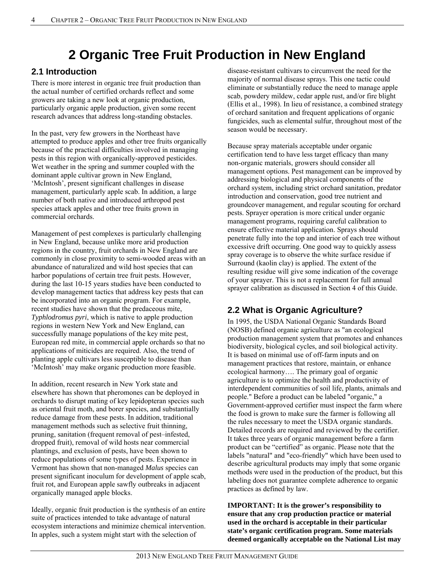# **2 Organic Tree Fruit Production in New England**

## **2.1 Introduction**

There is more interest in organic tree fruit production than the actual number of certified orchards reflect and some growers are taking a new look at organic production, particularly organic apple production, given some recent research advances that address long-standing obstacles.

In the past, very few growers in the Northeast have attempted to produce apples and other tree fruits organically because of the practical difficulties involved in managing pests in this region with organically-approved pesticides. Wet weather in the spring and summer coupled with the dominant apple cultivar grown in New England, 'McIntosh', present significant challenges in disease management, particularly apple scab. In addition, a large number of both native and introduced arthropod pest species attack apples and other tree fruits grown in commercial orchards.

Management of pest complexes is particularly challenging in New England, because unlike more arid production regions in the country, fruit orchards in New England are commonly in close proximity to semi-wooded areas with an abundance of naturalized and wild host species that can harbor populations of certain tree fruit pests. However, during the last 10-15 years studies have been conducted to develop management tactics that address key pests that can be incorporated into an organic program. For example, recent studies have shown that the predaceous mite, *Typhlodromus pyri*, which is native to apple production regions in western New York and New England, can successfully manage populations of the key mite pest, European red mite, in commercial apple orchards so that no applications of miticides are required. Also, the trend of planting apple cultivars less susceptible to disease than 'McIntosh' may make organic production more feasible.

In addition, recent research in New York state and elsewhere has shown that pheromones can be deployed in orchards to disrupt mating of key lepidopteran species such as oriental fruit moth, and borer species, and substantially reduce damage from these pests. In addition, traditional management methods such as selective fruit thinning, pruning, sanitation (frequent removal of pest–infested, dropped fruit), removal of wild hosts near commercial plantings, and exclusion of pests, have been shown to reduce populations of some types of pests. Experience in Vermont has shown that non-managed *Malus* species can present significant inoculum for development of apple scab, fruit rot, and European apple sawfly outbreaks in adjacent organically managed apple blocks.

Ideally, organic fruit production is the synthesis of an entire suite of practices intended to take advantage of natural ecosystem interactions and minimize chemical intervention. In apples, such a system might start with the selection of

disease-resistant cultivars to circumvent the need for the majority of normal disease sprays. This one tactic could eliminate or substantially reduce the need to manage apple scab, powdery mildew, cedar apple rust, and/or fire blight (Ellis et al., 1998). In lieu of resistance, a combined strategy of orchard sanitation and frequent applications of organic fungicides, such as elemental sulfur, throughout most of the season would be necessary.

Because spray materials acceptable under organic certification tend to have less target efficacy than many non-organic materials, growers should consider all management options. Pest management can be improved by addressing biological and physical components of the orchard system, including strict orchard sanitation, predator introduction and conservation, good tree nutrient and groundcover management, and regular scouting for orchard pests. Sprayer operation is more critical under organic management programs, requiring careful calibration to ensure effective material application. Sprays should penetrate fully into the top and interior of each tree without excessive drift occurring. One good way to quickly assess spray coverage is to observe the white surface residue if Surround (kaolin clay) is applied. The extent of the resulting residue will give some indication of the coverage of your sprayer. This is not a replacement for full annual sprayer calibration as discussed in Section 4 of this Guide.

## **2.2 What is Organic Agriculture?**

In 1995, the USDA National Organic Standards Board (NOSB) defined organic agriculture as "an ecological production management system that promotes and enhances biodiversity, biological cycles, and soil biological activity. It is based on minimal use of off-farm inputs and on management practices that restore, maintain, or enhance ecological harmony…. The primary goal of organic agriculture is to optimize the health and productivity of interdependent communities of soil life, plants, animals and people." Before a product can be labeled "organic," a Government-approved certifier must inspect the farm where the food is grown to make sure the farmer is following all the rules necessary to meet the USDA organic standards. Detailed records are required and reviewed by the certifier. It takes three years of organic management before a farm product can be "certified" as organic. Please note that the labels "natural" and "eco-friendly" which have been used to describe agricultural products may imply that some organic methods were used in the production of the product, but this labeling does not guarantee complete adherence to organic practices as defined by law.

**IMPORTANT: It is the grower's responsibility to ensure that any crop production practice or material used in the orchard is acceptable in their particular state's organic certification program. Some materials deemed organically acceptable on the National List may**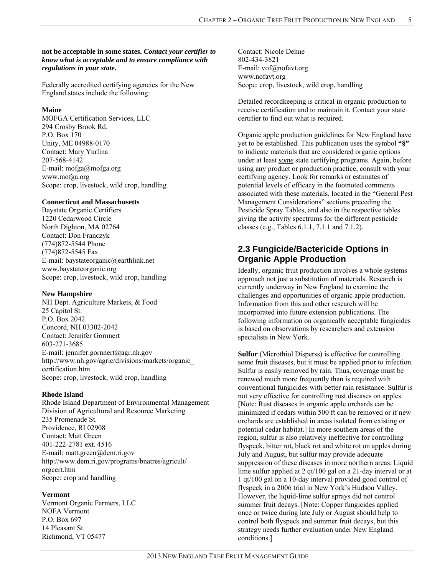#### **not be acceptable in some states.** *Contact your certifier to know what is acceptable and to ensure compliance with regulations in your state.*

Federally accredited certifying agencies for the New England states include the following:

#### **Maine**

MOFGA Certification Services, LLC 294 Crosby Brook Rd. P.O. Box 170 Unity, ME 04988-0170 Contact: Mary Yurlina 207-568-4142 E-mail: mofga@mofga.org www.mofga.org Scope: crop, livestock, wild crop, handling

#### **Connecticut and Massachusetts**

Baystate Organic Certifiers 1220 Cedarwood Circle North Dighton, MA 02764 Contact: Don Franczyk (774)872-5544 Phone (774)872-5545 Fax E-mail: baystateorganic@earthlink.net www.baystateorganic.org Scope: crop, livestock, wild crop, handling

#### **New Hampshire**

NH Dept. Agriculture Markets, & Food 25 Capitol St. P.O. Box 2042 Concord, NH 03302-2042 Contact: Jennifer Gornnert 603-271-3685 E-mail: jennifer.gornnert@agr.nh.gov http://www.nh.gov/agric/divisions/markets/organic\_ certification.htm Scope: crop, livestock, wild crop, handling

#### **Rhode Island**

Rhode Island Department of Environmental Management Division of Agricultural and Resource Marketing 235 Promenade St. Providence, RI 02908 Contact: Matt Green 401-222-2781 ext. 4516 E-mail: matt.green@dem.ri.gov http://www.dem.ri.gov/programs/bnatres/agricult/ orgcert.htm Scope: crop and handling

#### **Vermont**

Vermont Organic Farmers, LLC NOFA Vermont P.O. Box 697 14 Pleasant St. Richmond, VT 05477

Contact: Nicole Dehne 802-434-3821 E-mail: vof@nofavt.org www.nofavt.org Scope: crop, livestock, wild crop, handling

Detailed recordkeeping is critical in organic production to receive certification and to maintain it. Contact your state certifier to find out what is required.

Organic apple production guidelines for New England have yet to be established. This publication uses the symbol **"§"** to indicate materials that are considered organic options under at least *some* state certifying programs. Again, before using any product or production practice, consult with your certifying agency. Look for remarks or estimates of potential levels of efficacy in the footnoted comments associated with these materials, located in the "General Pest Management Considerations" sections preceding the Pesticide Spray Tables, and also in the respective tables giving the activity spectrums for the different pesticide classes (e.g., Tables 6.1.1, 7.1.1 and 7.1.2).

### **2.3 Fungicide/Bactericide Options in Organic Apple Production**

Ideally, organic fruit production involves a whole systems approach not just a substitution of materials. Research is currently underway in New England to examine the challenges and opportunities of organic apple production. Information from this and other research will be incorporated into future extension publications. The following information on organically acceptable fungicides is based on observations by researchers and extension specialists in New York.

**Sulfur** (Microthiol Disperss) is effective for controlling some fruit diseases, but it must be applied prior to infection. Sulfur is easily removed by rain. Thus, coverage must be renewed much more frequently than is required with conventional fungicides with better rain resistance. Sulfur is not very effective for controlling rust diseases on apples. [Note: Rust diseases in organic apple orchards can be minimized if cedars within 500 ft can be removed or if new orchards are established in areas isolated from existing or potential cedar habitat.] In more southern areas of the region, sulfur is also relatively ineffective for controlling flyspeck, bitter rot, black rot and white rot on apples during July and August, but sulfur may provide adequate suppression of these diseases in more northern areas. Liquid lime sulfur applied at 2 qt/100 gal on a 21-day interval or at 1 qt/100 gal on a 10-day interval provided good control of flyspeck in a 2006 trial in New York's Hudson Valley. However, the liquid-lime sulfur sprays did not control summer fruit decays. [Note: Copper fungicides applied once or twice during late July or August should help to control both flyspeck and summer fruit decays, but this strategy needs further evaluation under New England conditions.]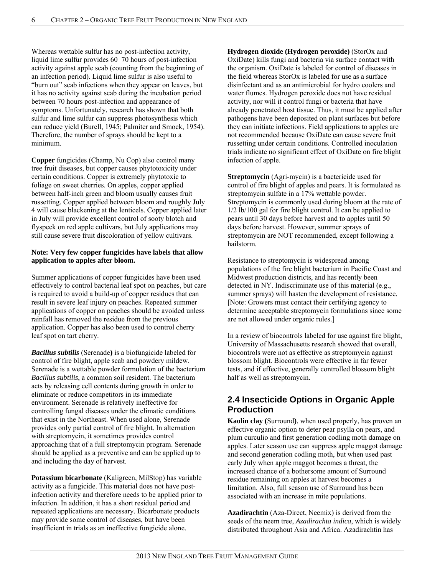Whereas wettable sulfur has no post-infection activity, liquid lime sulfur provides 60–70 hours of post-infection activity against apple scab (counting from the beginning of an infection period). Liquid lime sulfur is also useful to "burn out" scab infections when they appear on leaves, but it has no activity against scab during the incubation period between 70 hours post-infection and appearance of symptoms. Unfortunately, research has shown that both sulfur and lime sulfur can suppress photosynthesis which can reduce yield (Burell, 1945; Palmiter and Smock, 1954). Therefore, the number of sprays should be kept to a minimum.

**Copper** fungicides (Champ, Nu Cop) also control many tree fruit diseases, but copper causes phytotoxicity under certain conditions. Copper is extremely phytotoxic to foliage on sweet cherries. On apples, copper applied between half-inch green and bloom usually causes fruit russetting. Copper applied between bloom and roughly July 4 will cause blackening at the lenticels. Copper applied later in July will provide excellent control of sooty blotch and flyspeck on red apple cultivars, but July applications may still cause severe fruit discoloration of yellow cultivars.

#### **Note: Very few copper fungicides have labels that allow application to apples after bloom.**

Summer applications of copper fungicides have been used effectively to control bacterial leaf spot on peaches, but care is required to avoid a build-up of copper residues that can result in severe leaf injury on peaches. Repeated summer applications of copper on peaches should be avoided unless rainfall has removed the residue from the previous application. Copper has also been used to control cherry leaf spot on tart cherry.

*Bacillus subtilis* (Serenade**)** is a biofungicide labeled for control of fire blight, apple scab and powdery mildew. Serenade is a wettable powder formulation of the bacterium *Bacillus subtilis*, a common soil resident. The bacterium acts by releasing cell contents during growth in order to eliminate or reduce competitors in its immediate environment. Serenade is relatively ineffective for controlling fungal diseases under the climatic conditions that exist in the Northeast. When used alone, Serenade provides only partial control of fire blight. In alternation with streptomycin, it sometimes provides control approaching that of a full streptomycin program. Serenade should be applied as a preventive and can be applied up to and including the day of harvest.

**Potassium bicarbonate** (Kaligreen, MilStop) has variable activity as a fungicide. This material does not have postinfection activity and therefore needs to be applied prior to infection. In addition, it has a short residual period and repeated applications are necessary. Bicarbonate products may provide some control of diseases, but have been insufficient in trials as an ineffective fungicide alone.

**Hydrogen dioxide (Hydrogen peroxide)** (StorOx and OxiDate) kills fungi and bacteria via surface contact with the organism. OxiDate is labeled for control of diseases in the field whereas StorOx is labeled for use as a surface disinfectant and as an antimicrobial for hydro coolers and water flumes. Hydrogen peroxide does not have residual activity, nor will it control fungi or bacteria that have already penetrated host tissue. Thus, it must be applied after pathogens have been deposited on plant surfaces but before they can initiate infections. Field applications to apples are not recommended because OxiDate can cause severe fruit russetting under certain conditions. Controlled inoculation trials indicate no significant effect of OxiDate on fire blight infection of apple.

**Streptomycin** (Agri-mycin) is a bactericide used for control of fire blight of apples and pears. It is formulated as streptomycin sulfate in a 17% wettable powder. Streptomycin is commonly used during bloom at the rate of 1/2 lb/100 gal for fire blight control. It can be applied to pears until 30 days before harvest and to apples until 50 days before harvest. However, summer sprays of streptomycin are NOT recommended, except following a hailstorm.

Resistance to streptomycin is widespread among populations of the fire blight bacterium in Pacific Coast and Midwest production districts, and has recently been detected in NY. Indiscriminate use of this material (e.g., summer sprays) will hasten the development of resistance. [Note: Growers must contact their certifying agency to determine acceptable streptomycin formulations since some are not allowed under organic rules.]

In a review of biocontrols labeled for use against fire blight, University of Massachusetts research showed that overall, biocontrols were not as effective as streptomycin against blossom blight. Biocontrols were effective in far fewer tests, and if effective, generally controlled blossom blight half as well as streptomycin.

## **2.4 Insecticide Options in Organic Apple Production**

**Kaolin clay (**Surround**)**, when used properly, has proven an effective organic option to deter pear psylla on pears, and plum curculio and first generation codling moth damage on apples. Later season use can suppress apple maggot damage and second generation codling moth, but when used past early July when apple maggot becomes a threat, the increased chance of a bothersome amount of Surround residue remaining on apples at harvest becomes a limitation. Also, full season use of Surround has been associated with an increase in mite populations.

**Azadirachtin** (Aza-Direct, Neemix) is derived from the seeds of the neem tree, *Azadirachta indica*, which is widely distributed throughout Asia and Africa. Azadirachtin has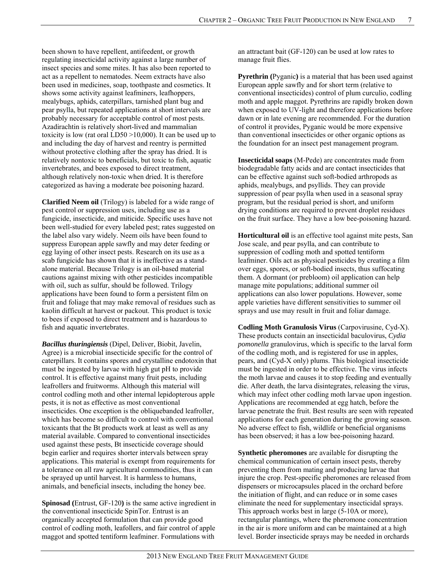been shown to have repellent, antifeedent, or growth regulating insecticidal activity against a large number of insect species and some mites. It has also been reported to act as a repellent to nematodes. Neem extracts have also been used in medicines, soap, toothpaste and cosmetics. It shows some activity against leafminers, leafhoppers, mealybugs, aphids, caterpillars, tarnished plant bug and pear psylla, but repeated applications at short intervals are probably necessary for acceptable control of most pests. Azadirachtin is relatively short-lived and mammalian toxicity is low (rat oral LD50 >10,000). It can be used up to and including the day of harvest and reentry is permitted without protective clothing after the spray has dried. It is relatively nontoxic to beneficials, but toxic to fish, aquatic invertebrates, and bees exposed to direct treatment, although relatively non-toxic when dried. It is therefore categorized as having a moderate bee poisoning hazard.

**Clarified Neem oil** (Trilogy) is labeled for a wide range of pest control or suppression uses, including use as a fungicide, insecticide, and miticide. Specific uses have not been well-studied for every labeled pest; rates suggested on the label also vary widely. Neem oils have been found to suppress European apple sawfly and may deter feeding or egg laying of other insect pests. Research on its use as a scab fungicide has shown that it is ineffective as a standalone material. Because Trilogy is an oil-based material cautions against mixing with other pesticides incompatible with oil, such as sulfur, should be followed. Trilogy applications have been found to form a persistent film on fruit and foliage that may make removal of residues such as kaolin difficult at harvest or packout. This product is toxic to bees if exposed to direct treatment and is hazardous to fish and aquatic invertebrates.

*Bacillus thuringiensis* (Dipel, Deliver, Biobit, Javelin, Agree) is a microbial insecticide specific for the control of caterpillars. It contains spores and crystalline endotoxin that must be ingested by larvae with high gut pH to provide control. It is effective against many fruit pests, including leafrollers and fruitworms. Although this material will control codling moth and other internal lepidopterous apple pests, it is not as effective as most conventional insecticides. One exception is the obliquebanded leafroller, which has become so difficult to control with conventional toxicants that the Bt products work at least as well as any material available. Compared to conventional insecticides used against these pests, Bt insecticide coverage should begin earlier and requires shorter intervals between spray applications. This material is exempt from requirements for a tolerance on all raw agricultural commodities, thus it can be sprayed up until harvest. It is harmless to humans, animals, and beneficial insects, including the honey bee.

**Spinosad (**Entrust, GF-120**)** is the same active ingredient in the conventional insecticide SpinTor. Entrust is an organically accepted formulation that can provide good control of codling moth, leafollers, and fair control of apple maggot and spotted tentiform leafminer. Formulations with

an attractant bait (GF-120) can be used at low rates to manage fruit flies.

**Pyrethrin** (Pyganic) is a material that has been used against European apple sawfly and for short term (relative to conventional insecticides) control of plum curculio, codling moth and apple maggot. Pyrethrins are rapidly broken down when exposed to UV-light and therefore applications before dawn or in late evening are recommended. For the duration of control it provides, Pyganic would be more expensive than conventional insecticides or other organic options as the foundation for an insect pest management program.

**Insecticidal soaps** (M-Pede) are concentrates made from biodegradable fatty acids and are contact insecticides that can be effective against such soft-bodied arthropods as aphids, mealybugs, and psyllids. They can provide suppression of pear psylla when used in a seasonal spray program, but the residual period is short, and uniform drying conditions are required to prevent droplet residues on the fruit surface. They have a low bee-poisoning hazard.

**Horticultural oil** is an effective tool against mite pests, San Jose scale, and pear psylla, and can contribute to suppression of codling moth and spotted tentiform leafminer. Oils act as physical pesticides by creating a film over eggs, spores, or soft-bodied insects, thus suffocating them. A dormant (or prebloom) oil application can help manage mite populations; additional summer oil applications can also lower populations. However, some apple varieties have different sensitivities to summer oil sprays and use may result in fruit and foliar damage.

**Codling Moth Granulosis Virus** (Carpovirusine, Cyd-X). These products contain an insecticidal baculovirus, *Cydia pomonella* granulovirus, which is specific to the larval form of the codling moth, and is registered for use in apples, pears, and (Cyd-X only) plums. This biological insecticide must be ingested in order to be effective. The virus infects the moth larvae and causes it to stop feeding and eventually die. After death, the larva disintegrates, releasing the virus, which may infect other codling moth larvae upon ingestion. Applications are recommended at egg hatch, before the larvae penetrate the fruit. Best results are seen with repeated applications for each generation during the growing season. No adverse effect to fish, wildlife or beneficial organisms has been observed; it has a low bee-poisoning hazard.

**Synthetic pheromones** are available for disrupting the chemical communication of certain insect pests, thereby preventing them from mating and producing larvae that injure the crop. Pest-specific pheromones are released from dispensers or microcapsules placed in the orchard before the initiation of flight, and can reduce or in some cases eliminate the need for supplementary insecticidal sprays. This approach works best in large (5-10A or more), rectangular plantings, where the pheromone concentration in the air is more uniform and can be maintained at a high level. Border insecticide sprays may be needed in orchards